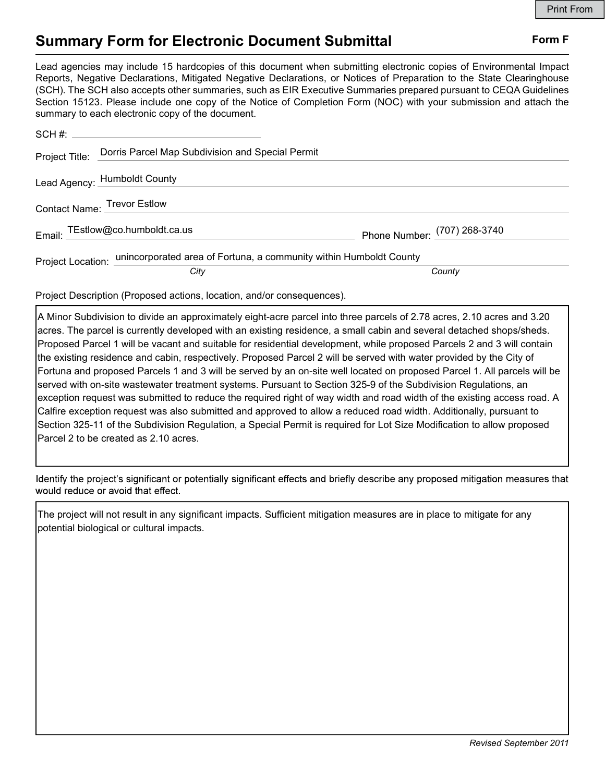## Summary Form for Electronic Document Submittal Form F

| <b>Summary Form for Electronic Document Submittal</b>                                                                                                                                                                                                                                                                                                                                                                                                                                                                                                                                                                                                                                                                                                                                                                                                                                                                                                                                                                                                                                                                                                             | <b>Print From</b><br>Form F |
|-------------------------------------------------------------------------------------------------------------------------------------------------------------------------------------------------------------------------------------------------------------------------------------------------------------------------------------------------------------------------------------------------------------------------------------------------------------------------------------------------------------------------------------------------------------------------------------------------------------------------------------------------------------------------------------------------------------------------------------------------------------------------------------------------------------------------------------------------------------------------------------------------------------------------------------------------------------------------------------------------------------------------------------------------------------------------------------------------------------------------------------------------------------------|-----------------------------|
| Lead agencies may include 15 hardcopies of this document when submitting electronic copies of Environmental Impact<br>Reports, Negative Declarations, Mitigated Negative Declarations, or Notices of Preparation to the State Clearinghouse<br>(SCH). The SCH also accepts other summaries, such as EIR Executive Summaries prepared pursuant to CEQA Guidelines<br>Section 15123. Please include one copy of the Notice of Completion Form (NOC) with your submission and attach the<br>summary to each electronic copy of the document.                                                                                                                                                                                                                                                                                                                                                                                                                                                                                                                                                                                                                         |                             |
|                                                                                                                                                                                                                                                                                                                                                                                                                                                                                                                                                                                                                                                                                                                                                                                                                                                                                                                                                                                                                                                                                                                                                                   |                             |
| Dorris Parcel Map Subdivision and Special Permit<br>Project Title:                                                                                                                                                                                                                                                                                                                                                                                                                                                                                                                                                                                                                                                                                                                                                                                                                                                                                                                                                                                                                                                                                                |                             |
| Lead Agency: Humboldt County                                                                                                                                                                                                                                                                                                                                                                                                                                                                                                                                                                                                                                                                                                                                                                                                                                                                                                                                                                                                                                                                                                                                      |                             |
| Contact Name: Trevor Estlow                                                                                                                                                                                                                                                                                                                                                                                                                                                                                                                                                                                                                                                                                                                                                                                                                                                                                                                                                                                                                                                                                                                                       |                             |
| Email: TEstlow@co.humboldt.ca.us<br>Phone Number: (707) 268-3740                                                                                                                                                                                                                                                                                                                                                                                                                                                                                                                                                                                                                                                                                                                                                                                                                                                                                                                                                                                                                                                                                                  |                             |
| Project Location: unincorporated area of Fortuna, a community within Humboldt County                                                                                                                                                                                                                                                                                                                                                                                                                                                                                                                                                                                                                                                                                                                                                                                                                                                                                                                                                                                                                                                                              |                             |
| County<br>City                                                                                                                                                                                                                                                                                                                                                                                                                                                                                                                                                                                                                                                                                                                                                                                                                                                                                                                                                                                                                                                                                                                                                    |                             |
| Project Description (Proposed actions, location, and/or consequences).                                                                                                                                                                                                                                                                                                                                                                                                                                                                                                                                                                                                                                                                                                                                                                                                                                                                                                                                                                                                                                                                                            |                             |
| A Minor Subdivision to divide an approximately eight-acre parcel into three parcels of 2.78 acres, 2.10 acres and 3.20<br>acres. The parcel is currently developed with an existing residence, a small cabin and several detached shops/sheds.<br>Proposed Parcel 1 will be vacant and suitable for residential development, while proposed Parcels 2 and 3 will contain<br>the existing residence and cabin, respectively. Proposed Parcel 2 will be served with water provided by the City of<br>Fortuna and proposed Parcels 1 and 3 will be served by an on-site well located on proposed Parcel 1. All parcels will be<br>served with on-site wastewater treatment systems. Pursuant to Section 325-9 of the Subdivision Regulations, an<br>exception request was submitted to reduce the required right of way width and road width of the existing access road. A<br>Calfire exception request was also submitted and approved to allow a reduced road width. Additionally, pursuant to<br>Section 325-11 of the Subdivision Regulation, a Special Permit is required for Lot Size Modification to allow proposed<br>Parcel 2 to be created as 2.10 acres. |                             |

Project Title: Corns r actomisp duxiaristion and special r eminity<br>
Email: TEstlow@co.humboldt.ca.us<br>
Email: TEstlow@co.humboldt.ca.us<br>
Phone Number: (707) 268-3740<br>
Project Location: <u>unincorporated area of Fortuna, a com</u> ead Agency: Humboldt County<br>
Email: TEstiow@co.humboldt.ca.us<br>
From Email: TEstiow@co.humboldt.ca.us<br>
Phone Number: (707) 268-3740<br>
Project Location: Unincorporated area of Fortuna, a community within Humboldt County<br>
Coun Lead Agency: Trainibolat County<br>
Email: TEstlow@co.humboldt.ca.us<br>
Phone Number:  $\frac{(707) 268-374}{(707) 268-374}$ <br>
Project Location: <u>unincorporated area of Fortuna, a community within Humboldt County<br>
Project Description </u> Project Location: Unincorporate are or rortuna, a community within Humbotot County<br>
Project Description (Proposed actions, location, and/or consequences).<br>
A Minor Subdivision to divide an approximately eight-acre parcel i County<br>
County<br>
Project Description (Proposed actions, location, and/or consequences).<br>
A Minor Subdivision to divide an approximately eight-acre parcel into three parcels of 2.78 acres, 2.10 a<br>
A Minor Subdivision to divi